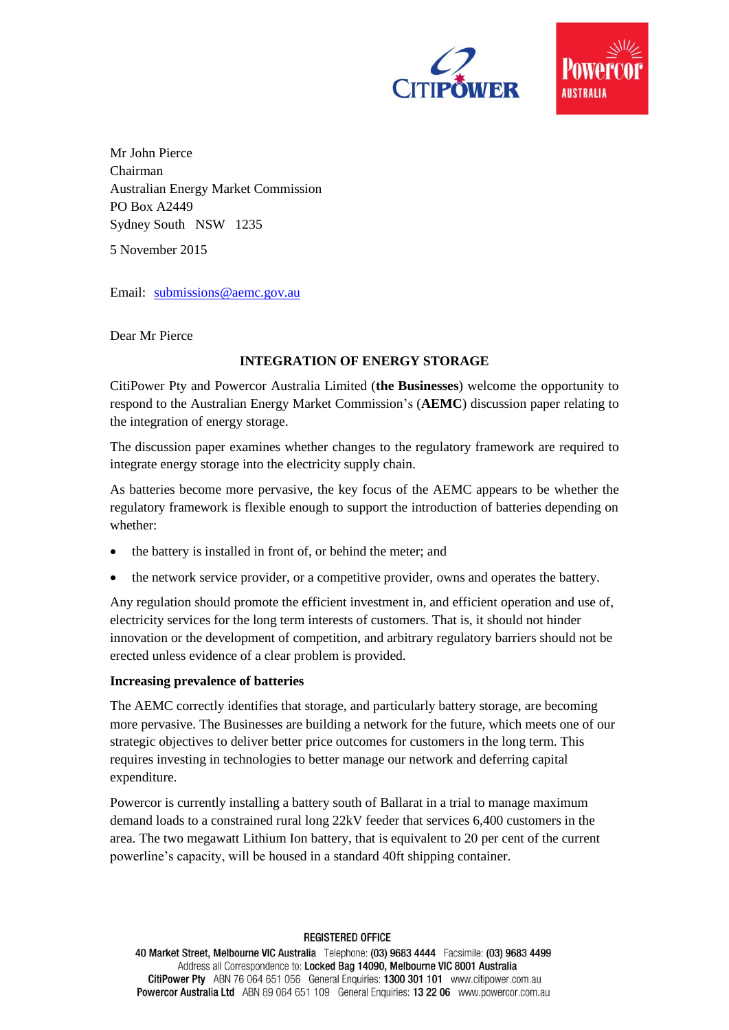



Mr John Pierce Chairman Australian Energy Market Commission PO Box A2449 Sydney South NSW 1235

5 November 2015

Email: [submissions@aemc.gov.au](mailto:submissions@aemc.gov.au)

Dear Mr Pierce

## **INTEGRATION OF ENERGY STORAGE**

CitiPower Pty and Powercor Australia Limited (**the Businesses**) welcome the opportunity to respond to the Australian Energy Market Commission's (**AEMC**) discussion paper relating to the integration of energy storage.

The discussion paper examines whether changes to the regulatory framework are required to integrate energy storage into the electricity supply chain.

As batteries become more pervasive, the key focus of the AEMC appears to be whether the regulatory framework is flexible enough to support the introduction of batteries depending on whether:

- the battery is installed in front of, or behind the meter; and
- the network service provider, or a competitive provider, owns and operates the battery.

Any regulation should promote the efficient investment in, and efficient operation and use of, electricity services for the long term interests of customers. That is, it should not hinder innovation or the development of competition, and arbitrary regulatory barriers should not be erected unless evidence of a clear problem is provided.

### **Increasing prevalence of batteries**

The AEMC correctly identifies that storage, and particularly battery storage, are becoming more pervasive. The Businesses are building a network for the future, which meets one of our strategic objectives to deliver better price outcomes for customers in the long term. This requires investing in technologies to better manage our network and deferring capital expenditure.

Powercor is currently installing a battery south of Ballarat in a trial to manage maximum demand loads to a constrained rural long 22kV feeder that services 6,400 customers in the area. The two megawatt Lithium Ion battery, that is equivalent to 20 per cent of the current powerline's capacity, will be housed in a standard 40ft shipping container.

#### **REGISTERED OFFICE**

40 Market Street, Melbourne VIC Australia Telephone: (03) 9683 4444 Facsimile: (03) 9683 4499 Address all Correspondence to: Locked Bag 14090, Melbourne VIC 8001 Australia CitiPower Pty ABN 76 064 651 056 General Enquiries: 1300 301 101 www.citipower.com.au Powercor Australia Ltd ABN 89 064 651 109 General Enquiries: 13 22 06 www.powercor.com.au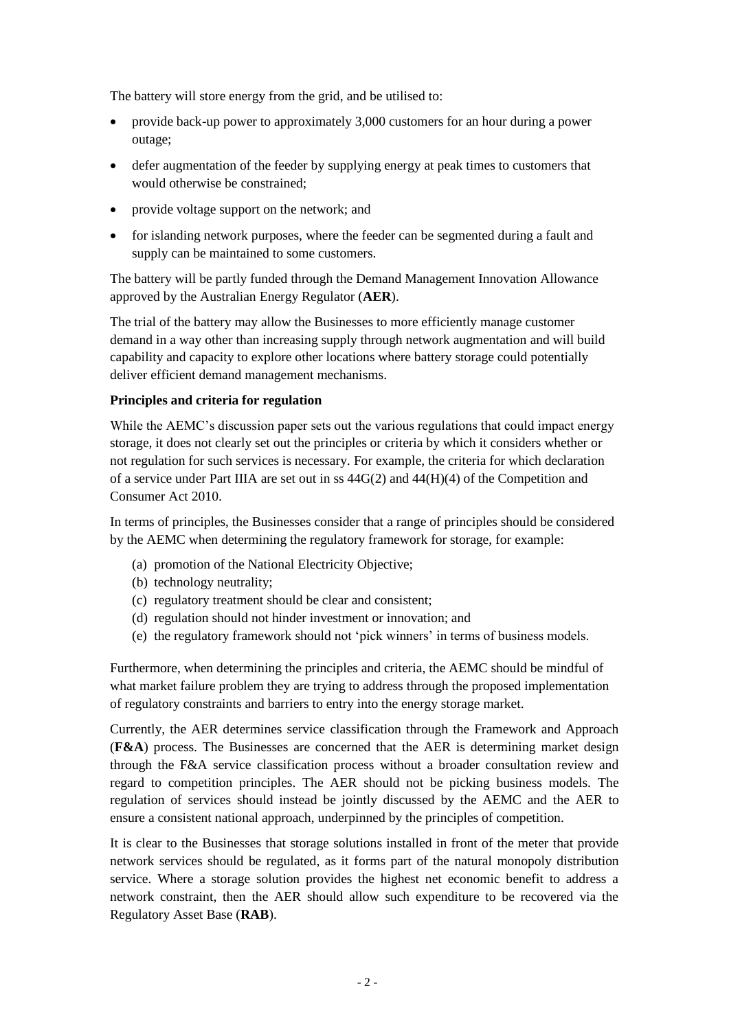The battery will store energy from the grid, and be utilised to:

- provide back-up power to approximately 3,000 customers for an hour during a power outage;
- defer augmentation of the feeder by supplying energy at peak times to customers that would otherwise be constrained;
- provide voltage support on the network; and
- for islanding network purposes, where the feeder can be segmented during a fault and supply can be maintained to some customers.

The battery will be partly funded through the Demand Management Innovation Allowance approved by the Australian Energy Regulator (**AER**).

The trial of the battery may allow the Businesses to more efficiently manage customer demand in a way other than increasing supply through network augmentation and will build capability and capacity to explore other locations where battery storage could potentially deliver efficient demand management mechanisms.

### **Principles and criteria for regulation**

While the AEMC's discussion paper sets out the various regulations that could impact energy storage, it does not clearly set out the principles or criteria by which it considers whether or not regulation for such services is necessary. For example, the criteria for which declaration of a service under Part IIIA are set out in ss 44G(2) and 44(H)(4) of the Competition and Consumer Act 2010.

In terms of principles, the Businesses consider that a range of principles should be considered by the AEMC when determining the regulatory framework for storage, for example:

- (a) promotion of the National Electricity Objective;
- (b) technology neutrality;
- (c) regulatory treatment should be clear and consistent;
- (d) regulation should not hinder investment or innovation; and
- (e) the regulatory framework should not 'pick winners' in terms of business models.

Furthermore, when determining the principles and criteria, the AEMC should be mindful of what market failure problem they are trying to address through the proposed implementation of regulatory constraints and barriers to entry into the energy storage market.

Currently, the AER determines service classification through the Framework and Approach (**F&A**) process. The Businesses are concerned that the AER is determining market design through the F&A service classification process without a broader consultation review and regard to competition principles. The AER should not be picking business models. The regulation of services should instead be jointly discussed by the AEMC and the AER to ensure a consistent national approach, underpinned by the principles of competition.

It is clear to the Businesses that storage solutions installed in front of the meter that provide network services should be regulated, as it forms part of the natural monopoly distribution service. Where a storage solution provides the highest net economic benefit to address a network constraint, then the AER should allow such expenditure to be recovered via the Regulatory Asset Base (**RAB**).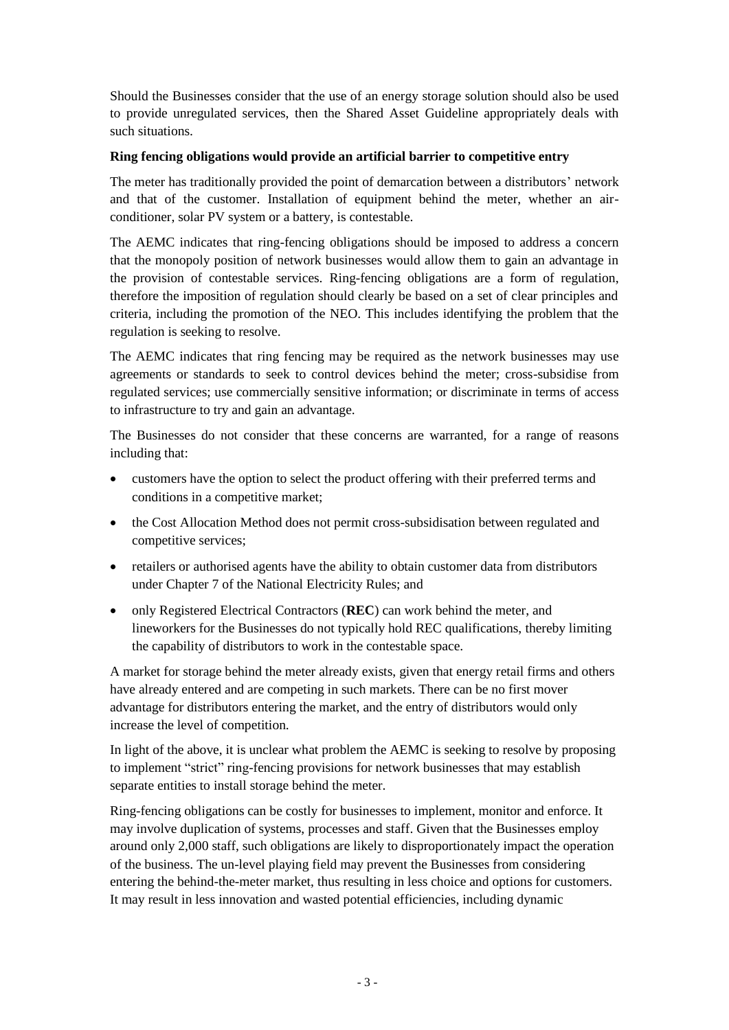Should the Businesses consider that the use of an energy storage solution should also be used to provide unregulated services, then the Shared Asset Guideline appropriately deals with such situations.

# **Ring fencing obligations would provide an artificial barrier to competitive entry**

The meter has traditionally provided the point of demarcation between a distributors' network and that of the customer. Installation of equipment behind the meter, whether an airconditioner, solar PV system or a battery, is contestable.

The AEMC indicates that ring-fencing obligations should be imposed to address a concern that the monopoly position of network businesses would allow them to gain an advantage in the provision of contestable services. Ring-fencing obligations are a form of regulation, therefore the imposition of regulation should clearly be based on a set of clear principles and criteria, including the promotion of the NEO. This includes identifying the problem that the regulation is seeking to resolve.

The AEMC indicates that ring fencing may be required as the network businesses may use agreements or standards to seek to control devices behind the meter; cross-subsidise from regulated services; use commercially sensitive information; or discriminate in terms of access to infrastructure to try and gain an advantage.

The Businesses do not consider that these concerns are warranted, for a range of reasons including that:

- customers have the option to select the product offering with their preferred terms and conditions in a competitive market;
- the Cost Allocation Method does not permit cross-subsidisation between regulated and competitive services;
- retailers or authorised agents have the ability to obtain customer data from distributors under Chapter 7 of the National Electricity Rules; and
- only Registered Electrical Contractors (**REC**) can work behind the meter, and lineworkers for the Businesses do not typically hold REC qualifications, thereby limiting the capability of distributors to work in the contestable space.

A market for storage behind the meter already exists, given that energy retail firms and others have already entered and are competing in such markets. There can be no first mover advantage for distributors entering the market, and the entry of distributors would only increase the level of competition.

In light of the above, it is unclear what problem the AEMC is seeking to resolve by proposing to implement "strict" ring-fencing provisions for network businesses that may establish separate entities to install storage behind the meter.

Ring-fencing obligations can be costly for businesses to implement, monitor and enforce. It may involve duplication of systems, processes and staff. Given that the Businesses employ around only 2,000 staff, such obligations are likely to disproportionately impact the operation of the business. The un-level playing field may prevent the Businesses from considering entering the behind-the-meter market, thus resulting in less choice and options for customers. It may result in less innovation and wasted potential efficiencies, including dynamic